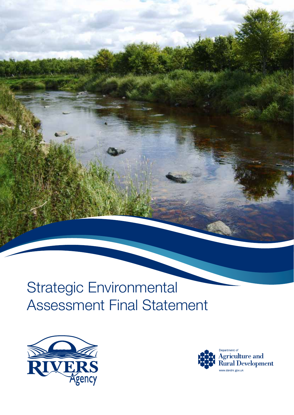# Strategic Environmental Assessment Final Statement



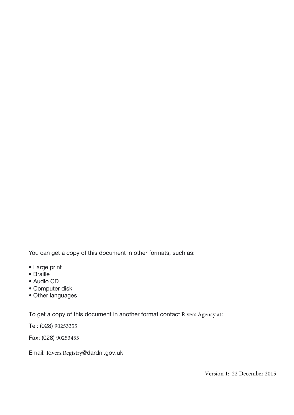You can get a copy of this document in other formats, such as:

- Large print
- Braille
- Audio CD
- Computer disk
- Other languages

To get a copy of this document in another format contact Rivers Agency at:

Tel: (028) 90253355

Fax: (028) 90253455

Email: Rivers.Registry@dardni.gov.uk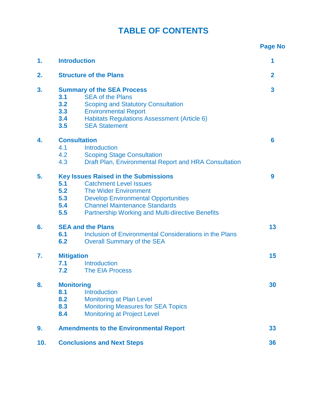# **TABLE OF CONTENTS**

|     |                                                                                                                                                                                                                                                                                                  | <b>Page No</b> |
|-----|--------------------------------------------------------------------------------------------------------------------------------------------------------------------------------------------------------------------------------------------------------------------------------------------------|----------------|
| 1.  | <b>Introduction</b>                                                                                                                                                                                                                                                                              | 1              |
| 2.  | <b>Structure of the Plans</b>                                                                                                                                                                                                                                                                    | $\overline{2}$ |
| 3.  | <b>Summary of the SEA Process</b><br><b>SEA of the Plans</b><br>3.1<br>3.2<br><b>Scoping and Statutory Consultation</b><br>3.3<br><b>Environmental Report</b><br>3.4<br>Habitats Regulations Assessment (Article 6)<br><b>SEA Statement</b><br>3.5                                               | 3              |
| 4.  | <b>Consultation</b><br>Introduction<br>4.1<br>4.2<br><b>Scoping Stage Consultation</b><br>4.3<br>Draft Plan, Environmental Report and HRA Consultation                                                                                                                                           | 6              |
| 5.  | <b>Key Issues Raised in the Submissions</b><br>5.1<br><b>Catchment Level Issues</b><br>5.2<br><b>The Wider Environment</b><br>5.3<br><b>Develop Environmental Opportunities</b><br>5.4<br><b>Channel Maintenance Standards</b><br>5.5<br><b>Partnership Working and Multi-directive Benefits</b> | 9              |
| 6.  | <b>SEA and the Plans</b><br>Inclusion of Environmental Considerations in the Plans<br>6.1<br>6.2<br><b>Overall Summary of the SEA</b>                                                                                                                                                            | 13             |
| 7.  | <b>Mitigation</b><br><b>Introduction</b><br>7.1<br>7.2<br><b>The EIA Process</b>                                                                                                                                                                                                                 | 15             |
| 8.  | <b>Monitoring</b><br>8.1<br><b>Introduction</b><br>8.2<br><b>Monitoring at Plan Level</b><br><b>Monitoring Measures for SEA Topics</b><br>8.3<br><b>Monitoring at Project Level</b><br>8.4                                                                                                       | 30             |
| 9.  | <b>Amendments to the Environmental Report</b>                                                                                                                                                                                                                                                    | 33             |
| 10. | <b>Conclusions and Next Steps</b>                                                                                                                                                                                                                                                                | 36             |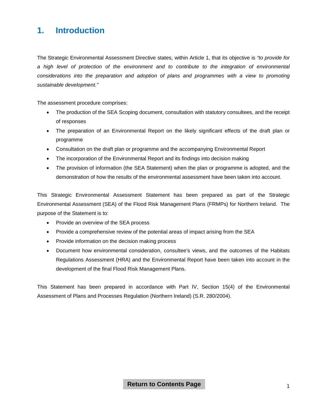# <span id="page-4-0"></span>**1. Introduction**

The Strategic Environmental Assessment Directive states, within Article 1, that its objective is *"to provide for a high level of protection of the environment and to contribute to the integration of environmental considerations into the preparation and adoption of plans and programmes with a view to promoting sustainable development."*

The assessment procedure comprises:

- The production of the SEA Scoping document, consultation with statutory consultees, and the receipt of responses
- The preparation of an Environmental Report on the likely significant effects of the draft plan or programme
- Consultation on the draft plan or programme and the accompanying Environmental Report
- The incorporation of the Environmental Report and its findings into decision making
- The provision of information (the SEA Statement) when the plan or programme is adopted, and the demonstration of how the results of the environmental assessment have been taken into account.

This Strategic Environmental Assessment Statement has been prepared as part of the Strategic Environmental Assessment (SEA) of the Flood Risk Management Plans (FRMPs) for Northern Ireland. The purpose of the Statement is to:

- Provide an overview of the SEA process
- Provide a comprehensive review of the potential areas of impact arising from the SEA
- Provide information on the decision making process
- Document how environmental consideration, consultee's views, and the outcomes of the Habitats Regulations Assessment (HRA) and the Environmental Report have been taken into account in the development of the final Flood Risk Management Plans.

This Statement has been prepared in accordance with Part IV, Section 15(4) of the Environmental Assessment of Plans and Processes Regulation (Northern Ireland) (S.R. 280/2004).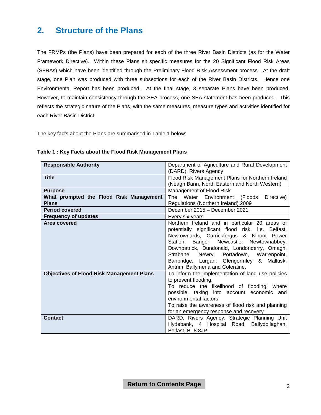# <span id="page-5-0"></span>**2. Structure of the Plans**

The FRMPs (the Plans) have been prepared for each of the three River Basin Districts (as for the Water Framework Directive). Within these Plans sit specific measures for the 20 Significant Flood Risk Areas (SFRAs) which have been identified through the Preliminary Flood Risk Assessment process. At the draft stage, one Plan was produced with three subsections for each of the River Basin Districts. Hence one Environmental Report has been produced. At the final stage, 3 separate Plans have been produced. However, to maintain consistency through the SEA process, one SEA statement has been produced. This reflects the strategic nature of the Plans, with the same measures, measure types and activities identified for each River Basin District.

The key facts about the Plans are summarised in Table 1 below:

| <b>Responsible Authority</b>                     | Department of Agriculture and Rural Development<br>(DARD), Rivers Agency                          |
|--------------------------------------------------|---------------------------------------------------------------------------------------------------|
| <b>Title</b>                                     | Flood Risk Management Plans for Northern Ireland<br>(Neagh Bann, North Eastern and North Western) |
|                                                  |                                                                                                   |
| <b>Purpose</b>                                   | Management of Flood Risk                                                                          |
| What prompted the Flood Risk Management          | The Water Environment (Floods<br>Directive)                                                       |
| <b>Plans</b>                                     | Regulations (Northern Ireland) 2009                                                               |
| <b>Period covered</b>                            | December 2015 - December 2021                                                                     |
| <b>Frequency of updates</b>                      | Every six years                                                                                   |
| Area covered                                     | Northern Ireland and in particular 20 areas of                                                    |
|                                                  | potentially significant flood risk, i.e. Belfast,                                                 |
|                                                  | Newtownards, Carrickfergus & Kilroot Power                                                        |
|                                                  | Station, Bangor, Newcastle, Newtownabbey,                                                         |
|                                                  | Downpatrick, Dundonald, Londonderry, Omagh,                                                       |
|                                                  | Strabane, Newry, Portadown, Warrenpoint,                                                          |
|                                                  | Banbridge, Lurgan, Glengormley & Mallusk,                                                         |
|                                                  | Antrim, Ballymena and Coleraine.                                                                  |
| <b>Objectives of Flood Risk Management Plans</b> | To inform the implementation of land use policies                                                 |
|                                                  | to prevent flooding.                                                                              |
|                                                  | To reduce the likelihood of flooding, where                                                       |
|                                                  | possible, taking into account economic and                                                        |
|                                                  | environmental factors.                                                                            |
|                                                  | To raise the awareness of flood risk and planning                                                 |
|                                                  | for an emergency response and recovery                                                            |
| <b>Contact</b>                                   | DARD, Rivers Agency, Strategic Planning Unit                                                      |
|                                                  | Hydebank, 4 Hospital Road, Ballydollaghan,                                                        |
|                                                  | Belfast, BT8 8JP                                                                                  |

#### **Table 1 : Key Facts about the Flood Risk Management Plans**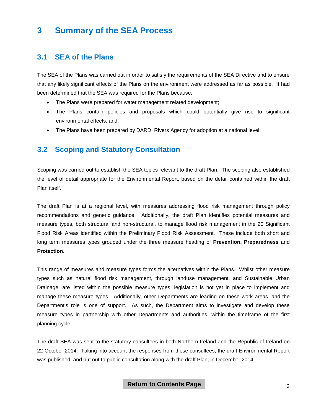# <span id="page-6-0"></span>**3 Summary of the SEA Process**

#### **3.1 SEA of the Plans**

The SEA of the Plans was carried out in order to satisfy the requirements of the SEA Directive and to ensure that any likely significant effects of the Plans on the environment were addressed as far as possible. It had been determined that the SEA was required for the Plans because:

- The Plans were prepared for water management related development;
- The Plans contain policies and proposals which could potentially give rise to significant environmental effects; and,
- The Plans have been prepared by DARD, Rivers Agency for adoption at a national level.

#### **3.2 Scoping and Statutory Consultation**

Scoping was carried out to establish the SEA topics relevant to the draft Plan. The scoping also established the level of detail appropriate for the Environmental Report, based on the detail contained within the draft Plan itself.

The draft Plan is at a regional level, with measures addressing flood risk management through policy recommendations and generic guidance. Additionally, the draft Plan identifies potential measures and measure types, both structural and non-structural, to manage flood risk management in the 20 Significant Flood Risk Areas identified within the Preliminary Flood Risk Assessment. These include both short and long term measures types grouped under the three measure heading of **Prevention, Preparedness** and **Protection**.

This range of measures and measure types forms the alternatives within the Plans. Whilst other measure types such as natural flood risk management, through landuse management, and Sustainable Urban Drainage, are listed within the possible measure types, legislation is not yet in place to implement and manage these measure types. Additionally, other Departments are leading on these work areas, and the Department's role is one of support. As such, the Department aims to investigate and develop these measure types in partnership with other Departments and authorities, within the timeframe of the first planning cycle.

The draft SEA was sent to the statutory consultees in both Northern Ireland and the Republic of Ireland on 22 October 2014. Taking into account the responses from these consultees, the draft Environmental Report was published, and put out to public consultation along with the draft Plan, in December 2014.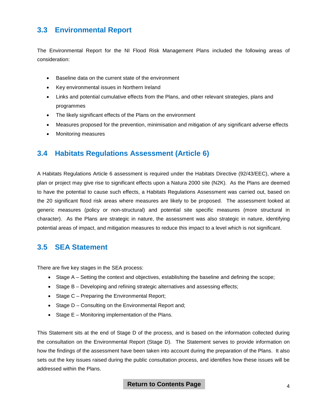# **3.3 Environmental Report**

The Environmental Report for the NI Flood Risk Management Plans included the following areas of consideration:

- Baseline data on the current state of the environment
- Key environmental issues in Northern Ireland
- Links and potential cumulative effects from the Plans, and other relevant strategies, plans and programmes
- The likely significant effects of the Plans on the environment
- Measures proposed for the prevention, minimisation and mitigation of any significant adverse effects
- Monitoring measures

### **3.4 Habitats Regulations Assessment (Article 6)**

A Habitats Regulations Article 6 assessment is required under the Habitats Directive (92/43/EEC), where a plan or project may give rise to significant effects upon a Natura 2000 site (N2K). As the Plans are deemed to have the potential to cause such effects, a Habitats Regulations Assessment was carried out, based on the 20 significant flood risk areas where measures are likely to be proposed. The assessment looked at generic measures (policy or non-structural) and potential site specific measures (more structural in character). As the Plans are strategic in nature, the assessment was also strategic in nature, identifying potential areas of impact, and mitigation measures to reduce this impact to a level which is not significant.

#### **3.5 SEA Statement**

There are five key stages in the SEA process:

- Stage A Setting the context and objectives, establishing the baseline and defining the scope;
- Stage B Developing and refining strategic alternatives and assessing effects;
- Stage C Preparing the Environmental Report;
- Stage D Consulting on the Environmental Report and;
- Stage E Monitoring implementation of the Plans.

This Statement sits at the end of Stage D of the process, and is based on the information collected during the consultation on the Environmental Report (Stage D). The Statement serves to provide information on how the findings of the assessment have been taken into account during the preparation of the Plans. It also sets out the key issues raised during the public consultation process, and identifies how these issues will be addressed within the Plans.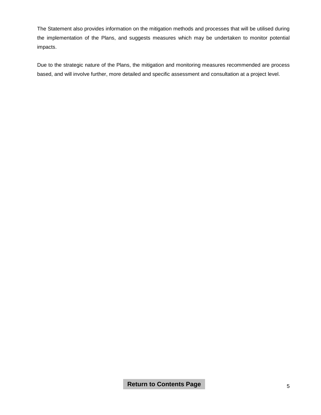The Statement also provides information on the mitigation methods and processes that will be utilised during the implementation of the Plans, and suggests measures which may be undertaken to monitor potential impacts.

Due to the strategic nature of the Plans, the mitigation and monitoring measures recommended are process based, and will involve further, more detailed and specific assessment and consultation at a project level.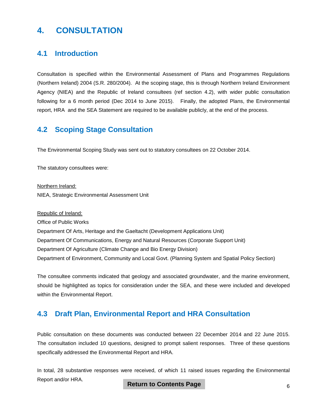# <span id="page-9-0"></span>**4. CONSULTATION**

### **4.1 Introduction**

Consultation is specified within the Environmental Assessment of Plans and Programmes Regulations (Northern Ireland) 2004 (S.R. 280/2004). At the scoping stage, this is through Northern Ireland Environment Agency (NIEA) and the Republic of Ireland consultees (ref section 4.2), with wider public consultation following for a 6 month period (Dec 2014 to June 2015). Finally, the adopted Plans, the Environmental report, HRA and the SEA Statement are required to be available publicly, at the end of the process.

### **4.2 Scoping Stage Consultation**

The Environmental Scoping Study was sent out to statutory consultees on 22 October 2014.

The statutory consultees were:

Northern Ireland: NIEA, Strategic Environmental Assessment Unit

Republic of Ireland: Office of Public Works Department Of Arts, Heritage and the Gaeltacht (Development Applications Unit) Department Of Communications, Energy and Natural Resources (Corporate Support Unit) Department Of Agriculture (Climate Change and Bio Energy Division) Department of Environment, Community and Local Govt. (Planning System and Spatial Policy Section)

The consultee comments indicated that geology and associated groundwater, and the marine environment, should be highlighted as topics for consideration under the SEA, and these were included and developed within the Environmental Report.

### **4.3 Draft Plan, Environmental Report and HRA Consultation**

Public consultation on these documents was conducted between 22 December 2014 and 22 June 2015. The consultation included 10 questions, designed to prompt salient responses. Three of these questions specifically addressed the Environmental Report and HRA.

In total, 28 substantive responses were received, of which 11 raised issues regarding the Environmental Report and/or HRA.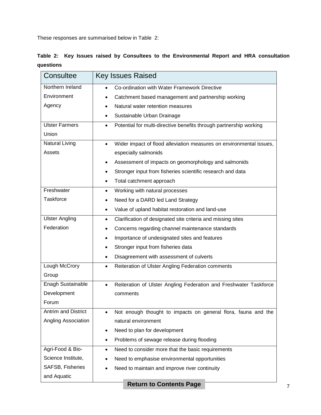These responses are summarised below in Table 2:

|           |  |  |  | Table 2: Key Issues raised by Consultees to the Environmental Report and HRA consultation |  |  |  |
|-----------|--|--|--|-------------------------------------------------------------------------------------------|--|--|--|
| questions |  |  |  |                                                                                           |  |  |  |

| Northern Ireland<br>Co-ordination with Water Framework Directive<br>Environment<br>Catchment based management and partnership working<br>Agency<br>Natural water retention measures<br>Sustainable Urban Drainage<br><b>Ulster Farmers</b><br>Potential for multi-directive benefits through partnership working<br>٠<br>Union<br><b>Natural Living</b><br>$\bullet$<br>Assets<br>especially salmonids<br>Assessment of impacts on geomorphology and salmonids<br>$\bullet$<br>Stronger input from fisheries scientific research and data<br>$\bullet$<br>Total catchment approach<br>٠<br>Freshwater<br>Working with natural processes<br>$\bullet$<br>Taskforce<br>Need for a DARD led Land Strategy<br>Value of upland habitat restoration and land-use<br>٠<br><b>Ulster Angling</b><br>Clarification of designated site criteria and missing sites<br>$\bullet$<br>Federation<br>Concerns regarding channel maintenance standards<br>Importance of undesignated sites and features<br>$\bullet$<br>Stronger input from fisheries data<br>$\bullet$<br>Disagreement with assessment of culverts<br>٠<br>Lough McCrory<br>Reiteration of Ulster Angling Federation comments<br>$\bullet$<br>Group<br>Enagh Sustainable<br>$\bullet$<br>Development<br>comments<br>Forum<br>Antrim and District<br>Angling Association<br>natural environment | Consultee | <b>Key Issues Raised</b>                                            |  |  |  |
|-------------------------------------------------------------------------------------------------------------------------------------------------------------------------------------------------------------------------------------------------------------------------------------------------------------------------------------------------------------------------------------------------------------------------------------------------------------------------------------------------------------------------------------------------------------------------------------------------------------------------------------------------------------------------------------------------------------------------------------------------------------------------------------------------------------------------------------------------------------------------------------------------------------------------------------------------------------------------------------------------------------------------------------------------------------------------------------------------------------------------------------------------------------------------------------------------------------------------------------------------------------------------------------------------------------------------------------------------|-----------|---------------------------------------------------------------------|--|--|--|
|                                                                                                                                                                                                                                                                                                                                                                                                                                                                                                                                                                                                                                                                                                                                                                                                                                                                                                                                                                                                                                                                                                                                                                                                                                                                                                                                                 |           |                                                                     |  |  |  |
|                                                                                                                                                                                                                                                                                                                                                                                                                                                                                                                                                                                                                                                                                                                                                                                                                                                                                                                                                                                                                                                                                                                                                                                                                                                                                                                                                 |           |                                                                     |  |  |  |
|                                                                                                                                                                                                                                                                                                                                                                                                                                                                                                                                                                                                                                                                                                                                                                                                                                                                                                                                                                                                                                                                                                                                                                                                                                                                                                                                                 |           |                                                                     |  |  |  |
|                                                                                                                                                                                                                                                                                                                                                                                                                                                                                                                                                                                                                                                                                                                                                                                                                                                                                                                                                                                                                                                                                                                                                                                                                                                                                                                                                 |           |                                                                     |  |  |  |
|                                                                                                                                                                                                                                                                                                                                                                                                                                                                                                                                                                                                                                                                                                                                                                                                                                                                                                                                                                                                                                                                                                                                                                                                                                                                                                                                                 |           |                                                                     |  |  |  |
|                                                                                                                                                                                                                                                                                                                                                                                                                                                                                                                                                                                                                                                                                                                                                                                                                                                                                                                                                                                                                                                                                                                                                                                                                                                                                                                                                 |           |                                                                     |  |  |  |
|                                                                                                                                                                                                                                                                                                                                                                                                                                                                                                                                                                                                                                                                                                                                                                                                                                                                                                                                                                                                                                                                                                                                                                                                                                                                                                                                                 |           | Wider impact of flood alleviation measures on environmental issues, |  |  |  |
|                                                                                                                                                                                                                                                                                                                                                                                                                                                                                                                                                                                                                                                                                                                                                                                                                                                                                                                                                                                                                                                                                                                                                                                                                                                                                                                                                 |           |                                                                     |  |  |  |
|                                                                                                                                                                                                                                                                                                                                                                                                                                                                                                                                                                                                                                                                                                                                                                                                                                                                                                                                                                                                                                                                                                                                                                                                                                                                                                                                                 |           |                                                                     |  |  |  |
|                                                                                                                                                                                                                                                                                                                                                                                                                                                                                                                                                                                                                                                                                                                                                                                                                                                                                                                                                                                                                                                                                                                                                                                                                                                                                                                                                 |           |                                                                     |  |  |  |
|                                                                                                                                                                                                                                                                                                                                                                                                                                                                                                                                                                                                                                                                                                                                                                                                                                                                                                                                                                                                                                                                                                                                                                                                                                                                                                                                                 |           |                                                                     |  |  |  |
|                                                                                                                                                                                                                                                                                                                                                                                                                                                                                                                                                                                                                                                                                                                                                                                                                                                                                                                                                                                                                                                                                                                                                                                                                                                                                                                                                 |           |                                                                     |  |  |  |
|                                                                                                                                                                                                                                                                                                                                                                                                                                                                                                                                                                                                                                                                                                                                                                                                                                                                                                                                                                                                                                                                                                                                                                                                                                                                                                                                                 |           |                                                                     |  |  |  |
|                                                                                                                                                                                                                                                                                                                                                                                                                                                                                                                                                                                                                                                                                                                                                                                                                                                                                                                                                                                                                                                                                                                                                                                                                                                                                                                                                 |           |                                                                     |  |  |  |
|                                                                                                                                                                                                                                                                                                                                                                                                                                                                                                                                                                                                                                                                                                                                                                                                                                                                                                                                                                                                                                                                                                                                                                                                                                                                                                                                                 |           |                                                                     |  |  |  |
|                                                                                                                                                                                                                                                                                                                                                                                                                                                                                                                                                                                                                                                                                                                                                                                                                                                                                                                                                                                                                                                                                                                                                                                                                                                                                                                                                 |           |                                                                     |  |  |  |
|                                                                                                                                                                                                                                                                                                                                                                                                                                                                                                                                                                                                                                                                                                                                                                                                                                                                                                                                                                                                                                                                                                                                                                                                                                                                                                                                                 |           |                                                                     |  |  |  |
|                                                                                                                                                                                                                                                                                                                                                                                                                                                                                                                                                                                                                                                                                                                                                                                                                                                                                                                                                                                                                                                                                                                                                                                                                                                                                                                                                 |           |                                                                     |  |  |  |
|                                                                                                                                                                                                                                                                                                                                                                                                                                                                                                                                                                                                                                                                                                                                                                                                                                                                                                                                                                                                                                                                                                                                                                                                                                                                                                                                                 |           |                                                                     |  |  |  |
|                                                                                                                                                                                                                                                                                                                                                                                                                                                                                                                                                                                                                                                                                                                                                                                                                                                                                                                                                                                                                                                                                                                                                                                                                                                                                                                                                 |           |                                                                     |  |  |  |
|                                                                                                                                                                                                                                                                                                                                                                                                                                                                                                                                                                                                                                                                                                                                                                                                                                                                                                                                                                                                                                                                                                                                                                                                                                                                                                                                                 |           |                                                                     |  |  |  |
|                                                                                                                                                                                                                                                                                                                                                                                                                                                                                                                                                                                                                                                                                                                                                                                                                                                                                                                                                                                                                                                                                                                                                                                                                                                                                                                                                 |           | Reiteration of Ulster Angling Federation and Freshwater Taskforce   |  |  |  |
|                                                                                                                                                                                                                                                                                                                                                                                                                                                                                                                                                                                                                                                                                                                                                                                                                                                                                                                                                                                                                                                                                                                                                                                                                                                                                                                                                 |           |                                                                     |  |  |  |
|                                                                                                                                                                                                                                                                                                                                                                                                                                                                                                                                                                                                                                                                                                                                                                                                                                                                                                                                                                                                                                                                                                                                                                                                                                                                                                                                                 |           |                                                                     |  |  |  |
|                                                                                                                                                                                                                                                                                                                                                                                                                                                                                                                                                                                                                                                                                                                                                                                                                                                                                                                                                                                                                                                                                                                                                                                                                                                                                                                                                 |           | Not enough thought to impacts on general flora, fauna and the       |  |  |  |
|                                                                                                                                                                                                                                                                                                                                                                                                                                                                                                                                                                                                                                                                                                                                                                                                                                                                                                                                                                                                                                                                                                                                                                                                                                                                                                                                                 |           |                                                                     |  |  |  |
| Need to plan for development                                                                                                                                                                                                                                                                                                                                                                                                                                                                                                                                                                                                                                                                                                                                                                                                                                                                                                                                                                                                                                                                                                                                                                                                                                                                                                                    |           |                                                                     |  |  |  |
| Problems of sewage release during flooding                                                                                                                                                                                                                                                                                                                                                                                                                                                                                                                                                                                                                                                                                                                                                                                                                                                                                                                                                                                                                                                                                                                                                                                                                                                                                                      |           |                                                                     |  |  |  |
| Agri-Food & Bio-<br>Need to consider more that the basic requirements                                                                                                                                                                                                                                                                                                                                                                                                                                                                                                                                                                                                                                                                                                                                                                                                                                                                                                                                                                                                                                                                                                                                                                                                                                                                           |           |                                                                     |  |  |  |
| Science Institute,<br>Need to emphasise environmental opportunities                                                                                                                                                                                                                                                                                                                                                                                                                                                                                                                                                                                                                                                                                                                                                                                                                                                                                                                                                                                                                                                                                                                                                                                                                                                                             |           |                                                                     |  |  |  |
| SAFSB, Fisheries<br>Need to maintain and improve river continuity                                                                                                                                                                                                                                                                                                                                                                                                                                                                                                                                                                                                                                                                                                                                                                                                                                                                                                                                                                                                                                                                                                                                                                                                                                                                               |           |                                                                     |  |  |  |
| and Aquatic                                                                                                                                                                                                                                                                                                                                                                                                                                                                                                                                                                                                                                                                                                                                                                                                                                                                                                                                                                                                                                                                                                                                                                                                                                                                                                                                     |           |                                                                     |  |  |  |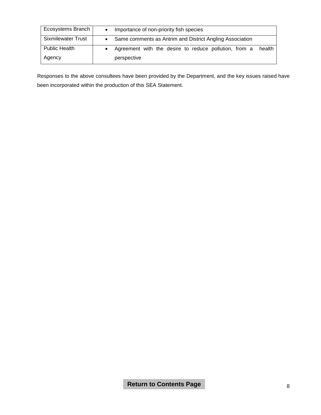| Ecosystems Branch         | Importance of non-priority fish species                         |  |  |  |  |
|---------------------------|-----------------------------------------------------------------|--|--|--|--|
| <b>Sixmilewater Trust</b> | Same comments as Antrim and District Angling Association        |  |  |  |  |
| <b>Public Health</b>      | Agreement with the desire to reduce pollution, from a<br>health |  |  |  |  |
| Agency                    | perspective                                                     |  |  |  |  |

Responses to the above consultees have been provided by the Department, and the key issues raised have been incorporated within the production of this SEA Statement.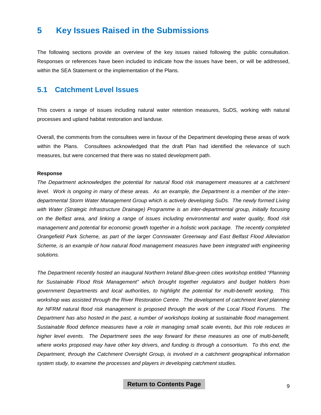# <span id="page-12-0"></span>**5 Key Issues Raised in the Submissions**

The following sections provide an overview of the key issues raised following the public consultation. Responses or references have been included to indicate how the issues have been, or will be addressed, within the SEA Statement or the implementation of the Plans.

#### **5.1 Catchment Level Issues**

This covers a range of issues including natural water retention measures, SuDS, working with natural processes and upland habitat restoration and landuse.

Overall, the comments from the consultees were in favour of the Department developing these areas of work within the Plans. Consultees acknowledged that the draft Plan had identified the relevance of such measures, but were concerned that there was no stated development path.

#### **Response**

*The Department acknowledges the potential for natural flood risk management measures at a catchment level. Work is ongoing in many of these areas. As an example, the Department is a member of the interdepartmental Storm Water Management Group which is actively developing SuDs. The newly formed Living with Water (Strategic Infrastructure Drainage) Programme is an inter-departmental group, initially focusing on the Belfast area, and linking a range of issues including environmental and water quality, flood risk management and potential for economic growth together in a holistic work package. The recently completed Orangefield Park Scheme, as part of the larger Connswater Greenway and East Belfast Flood Alleviation Scheme, is an example of how natural flood management measures have been integrated with engineering solutions.* 

*The Department recently hosted an inaugural Northern Ireland Blue-green cities workshop entitled "Planning for Sustainable Flood Risk Management" which brought together regulators and budget holders from government Departments and local authorities, to highlight the potential for multi-benefit working. This workshop was assisted through the River Restoration Centre. The development of catchment level planning*  for NFRM natural flood risk management is proposed through the work of the Local Flood Forums. The *Department has also hosted in the past, a number of workshops looking at sustainable flood management. Sustainable flood defence measures have a role in managing small scale events, but this role reduces in higher level events. The Department sees the way forward for these measures as one of multi-benefit, where works proposed may have other key drivers, and funding is through a consortium. To this end, the Department, through the Catchment Oversight Group, is involved in a catchment geographical information system study, to examine the processes and players in developing catchment studies.*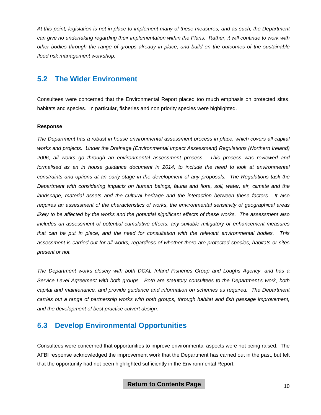*At this point, legislation is not in place to implement many of these measures, and as such, the Department can give no undertaking regarding their implementation within the Plans. Rather, it will continue to work with other bodies through the range of groups already in place, and build on the outcomes of the sustainable flood risk management workshop.*

### **5.2 The Wider Environment**

Consultees were concerned that the Environmental Report placed too much emphasis on protected sites, habitats and species. In particular, fisheries and non priority species were highlighted.

#### **Response**

*The Department has a robust in house environmental assessment process in place, which covers all capital works and projects. Under the Drainage (Environmental Impact Assessment) Regulations (Northern Ireland) 2006, all works go through an environmental assessment process. This process was reviewed and formalised as an in house guidance document in 2014, to include the need to look at environmental constraints and options at an early stage in the development of any proposals. The Regulations task the Department with considering impacts on human beings, fauna and flora, soil, water, air, climate and the landscape, material assets and the cultural heritage and the interaction between these factors. It also requires an assessment of the characteristics of works, the environmental sensitivity of geographical areas likely to be affected by the works and the potential significant effects of these works. The assessment also includes an assessment of potential cumulative effects, any suitable mitigatory or enhancement measures that can be put in place, and the need for consultation with the relevant environmental bodies. This assessment is carried out for all works, regardless of whether there are protected species, habitats or sites present or not.*

*The Department works closely with both DCAL Inland Fisheries Group and Loughs Agency, and has a Service Level Agreement with both groups. Both are statutory consultees to the Department's work, both capital and maintenance, and provide guidance and information on schemes as required. The Department carries out a range of partnership works with both groups, through habitat and fish passage improvement, and the development of best practice culvert design.*

# **5.3 Develop Environmental Opportunities**

Consultees were concerned that opportunities to improve environmental aspects were not being raised. The AFBI response acknowledged the improvement work that the Department has carried out in the past, but felt that the opportunity had not been highlighted sufficiently in the Environmental Report.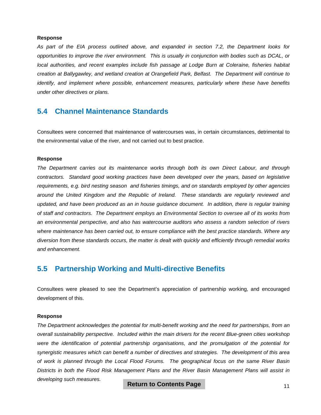#### **Response**

*As part of the EIA process outlined above, and expanded in section 7.2, the Department looks for opportunities to improve the river environment. This is usually in conjunction with bodies such as DCAL, or local authorities, and recent examples include fish passage at Lodge Burn at Coleraine, fisheries habitat creation at Ballygawley, and wetland creation at Orangefield Park, Belfast. The Department will continue to identify, and implement where possible, enhancement measures, particularly where these have benefits under other directives or plans.*

#### **5.4 Channel Maintenance Standards**

Consultees were concerned that maintenance of watercourses was, in certain circumstances, detrimental to the environmental value of the river, and not carried out to best practice.

#### **Response**

*The Department carries out its maintenance works through both its own Direct Labour, and through contractors. Standard good working practices have been developed over the years, based on legislative requirements, e.g. bird nesting season and fisheries timings, and on standards employed by other agencies around the United Kingdom and the Republic of Ireland. These standards are regularly reviewed and*  updated, and have been produced as an in house guidance document. In addition, there is regular training *of staff and contractors. The Department employs an Environmental Section to oversee all of its works from an environmental perspective, and also has watercourse auditors who assess a random selection of rivers where maintenance has been carried out, to ensure compliance with the best practice standards. Where any diversion from these standards occurs, the matter is dealt with quickly and efficiently through remedial works and enhancement.*

#### **5.5 Partnership Working and Multi-directive Benefits**

Consultees were pleased to see the Department's appreciation of partnership working, and encouraged development of this.

#### **Response**

*The Department acknowledges the potential for multi-benefit working and the need for partnerships, from an overall sustainability perspective. Included within the main drivers for the recent Blue-green cities workshop were the identification of potential partnership organisations, and the promulgation of the potential for synergistic measures which can benefit a number of directives and strategies. The development of this area of work is planned through the Local Flood Forums. The geographical focus on the same River Basin Districts in both the Flood Risk Management Plans and the River Basin Management Plans will assist in developing such measures.*

**Return to Contents Page**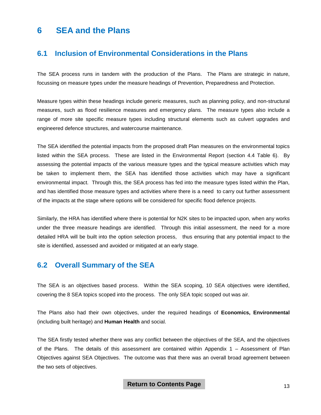# <span id="page-15-0"></span>**6 SEA and the Plans**

### **6.1 Inclusion of Environmental Considerations in the Plans**

The SEA process runs in tandem with the production of the Plans. The Plans are strategic in nature, focussing on measure types under the measure headings of Prevention, Preparedness and Protection.

Measure types within these headings include generic measures, such as planning policy, and non-structural measures, such as flood resilience measures and emergency plans. The measure types also include a range of more site specific measure types including structural elements such as culvert upgrades and engineered defence structures, and watercourse maintenance.

The SEA identified the potential impacts from the proposed draft Plan measures on the environmental topics listed within the SEA process. These are listed in the Environmental Report (section 4.4 Table 6). By assessing the potential impacts of the various measure types and the typical measure activities which may be taken to implement them, the SEA has identified those activities which may have a significant environmental impact. Through this, the SEA process has fed into the measure types listed within the Plan, and has identified those measure types and activities where there is a need to carry out further assessment of the impacts at the stage where options will be considered for specific flood defence projects.

Similarly, the HRA has identified where there is potential for N2K sites to be impacted upon, when any works under the three measure headings are identified. Through this initial assessment, the need for a more detailed HRA will be built into the option selection process, thus ensuring that any potential impact to the site is identified, assessed and avoided or mitigated at an early stage.

### **6.2 Overall Summary of the SEA**

The SEA is an objectives based process. Within the SEA scoping, 10 SEA objectives were identified, covering the 8 SEA topics scoped into the process. The only SEA topic scoped out was air.

The Plans also had their own objectives, under the required headings of **Economics, Environmental** (including built heritage) and **Human Health** and social.

The SEA firstly tested whether there was any conflict between the objectives of the SEA, and the objectives of the Plans. The details of this assessment are contained within Appendix 1 – Assessment of Plan Objectives against SEA Objectives. The outcome was that there was an overall broad agreement between the two sets of objectives.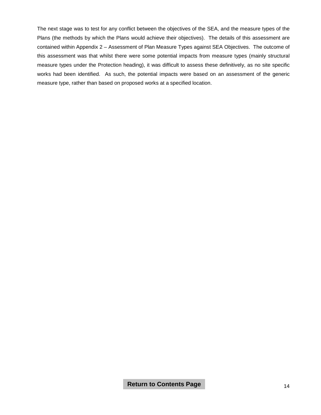The next stage was to test for any conflict between the objectives of the SEA, and the measure types of the Plans (the methods by which the Plans would achieve their objectives). The details of this assessment are contained within Appendix 2 – Assessment of Plan Measure Types against SEA Objectives. The outcome of this assessment was that whilst there were some potential impacts from measure types (mainly structural measure types under the Protection heading), it was difficult to assess these definitively, as no site specific works had been identified. As such, the potential impacts were based on an assessment of the generic measure type, rather than based on proposed works at a specified location.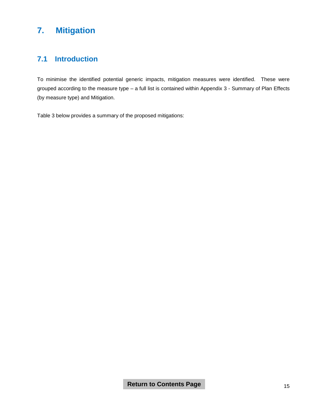# <span id="page-17-0"></span>**7. Mitigation**

# **7.1 Introduction**

To minimise the identified potential generic impacts, mitigation measures were identified. These were grouped according to the measure type – a full list is contained within Appendix 3 - Summary of Plan Effects (by measure type) and Mitigation.

Table 3 below provides a summary of the proposed mitigations: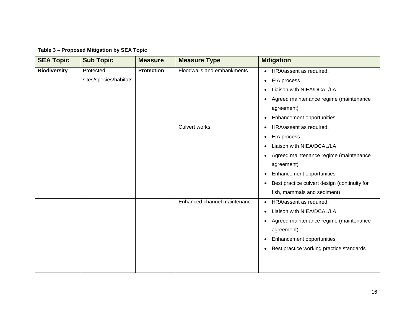| Table 3 - Proposed Mitigation by SEA Topic |  |  |  |
|--------------------------------------------|--|--|--|
|--------------------------------------------|--|--|--|

| <b>SEA Topic</b>    | <b>Sub Topic</b>       | <b>Measure</b>    | <b>Measure Type</b>          | <b>Mitigation</b>                            |
|---------------------|------------------------|-------------------|------------------------------|----------------------------------------------|
| <b>Biodiversity</b> | Protected              | <b>Protection</b> | Floodwalls and embankments   | HRA/assent as required.                      |
|                     | sites/species/habitats |                   |                              | EIA process<br>$\bullet$                     |
|                     |                        |                   |                              | Liaison with NIEA/DCAL/LA                    |
|                     |                        |                   |                              | Agreed maintenance regime (maintenance       |
|                     |                        |                   |                              | agreement)                                   |
|                     |                        |                   |                              | Enhancement opportunities                    |
|                     |                        |                   | <b>Culvert works</b>         | HRA/assent as required.                      |
|                     |                        |                   |                              | EIA process                                  |
|                     |                        |                   |                              | Liaison with NIEA/DCAL/LA                    |
|                     |                        |                   |                              | Agreed maintenance regime (maintenance       |
|                     |                        |                   |                              | agreement)                                   |
|                     |                        |                   |                              | Enhancement opportunities                    |
|                     |                        |                   |                              | Best practice culvert design (continuity for |
|                     |                        |                   |                              | fish, mammals and sediment)                  |
|                     |                        |                   | Enhanced channel maintenance | HRA/assent as required.                      |
|                     |                        |                   |                              | Liaison with NIEA/DCAL/LA                    |
|                     |                        |                   |                              | Agreed maintenance regime (maintenance       |
|                     |                        |                   |                              | agreement)                                   |
|                     |                        |                   |                              | Enhancement opportunities                    |
|                     |                        |                   |                              | Best practice working practice standards     |
|                     |                        |                   |                              |                                              |
|                     |                        |                   |                              |                                              |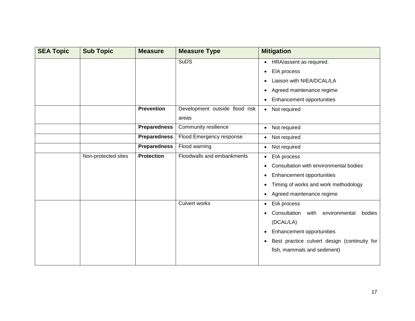| <b>SEA Topic</b> | <b>Sub Topic</b>    | <b>Measure</b>      | <b>Measure Type</b>            | <b>Mitigation</b>                            |
|------------------|---------------------|---------------------|--------------------------------|----------------------------------------------|
|                  |                     |                     | <b>SuDS</b>                    | HRA/assent as required.<br>$\bullet$         |
|                  |                     |                     |                                | EIA process<br>$\bullet$                     |
|                  |                     |                     |                                | Liaison with NIEA/DCAL/LA                    |
|                  |                     |                     |                                | Agreed maintenance regime<br>$\bullet$       |
|                  |                     |                     |                                | Enhancement opportunities                    |
|                  |                     | <b>Prevention</b>   | Development outside flood risk | Not required<br>$\bullet$                    |
|                  |                     |                     | areas                          |                                              |
|                  |                     | <b>Preparedness</b> | Community resilience           | Not required<br>$\bullet$                    |
|                  |                     | <b>Preparedness</b> | Flood Emergency response       | Not required<br>$\bullet$                    |
|                  |                     | <b>Preparedness</b> | Flood warning                  | Not required<br>$\bullet$                    |
|                  | Non-protected sites | <b>Protection</b>   | Floodwalls and embankments     | EIA process                                  |
|                  |                     |                     |                                | Consultation with environmental bodies       |
|                  |                     |                     |                                | Enhancement opportunities                    |
|                  |                     |                     |                                | Timing of works and work methodology         |
|                  |                     |                     |                                | • Agreed maintenance regime                  |
|                  |                     |                     | <b>Culvert works</b>           | EIA process<br>$\bullet$                     |
|                  |                     |                     |                                | Consultation<br>with environmental<br>bodies |
|                  |                     |                     |                                | (DCAL/LA)                                    |
|                  |                     |                     |                                | Enhancement opportunities<br>$\bullet$       |
|                  |                     |                     |                                | Best practice culvert design (continuity for |
|                  |                     |                     |                                | fish, mammals and sediment)                  |
|                  |                     |                     |                                |                                              |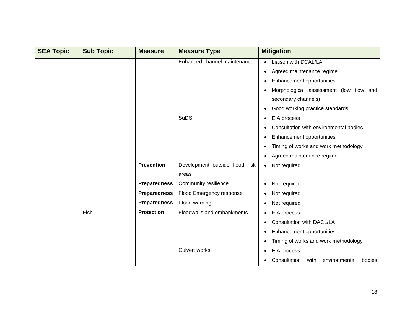| <b>SEA Topic</b> | <b>Sub Topic</b> | <b>Measure</b>      | <b>Measure Type</b>                     | <b>Mitigation</b>                                                                                                                                                                                      |
|------------------|------------------|---------------------|-----------------------------------------|--------------------------------------------------------------------------------------------------------------------------------------------------------------------------------------------------------|
|                  |                  |                     | Enhanced channel maintenance            | Liaison with DCAL/LA<br>Agreed maintenance regime<br>$\bullet$<br><b>Enhancement opportunities</b><br>Morphological assessment (low flow and<br>secondary channels)<br>Good working practice standards |
|                  |                  |                     | <b>SuDS</b>                             | • EIA process<br>Consultation with environmental bodies<br><b>Enhancement opportunities</b><br>Timing of works and work methodology<br>Agreed maintenance regime                                       |
|                  |                  | <b>Prevention</b>   | Development outside flood risk<br>areas | • Not required                                                                                                                                                                                         |
|                  |                  | <b>Preparedness</b> | Community resilience                    | Not required                                                                                                                                                                                           |
|                  |                  | <b>Preparedness</b> | Flood Emergency response                | • Not required                                                                                                                                                                                         |
|                  |                  | <b>Preparedness</b> | Flood warning                           | • Not required                                                                                                                                                                                         |
|                  | Fish             | <b>Protection</b>   | Floodwalls and embankments              | EIA process<br>Consultation with DACL/LA<br><b>Enhancement opportunities</b><br>Timing of works and work methodology                                                                                   |
|                  |                  |                     | <b>Culvert works</b>                    | • EIA process<br>Consultation<br>with<br>bodies<br>environmental                                                                                                                                       |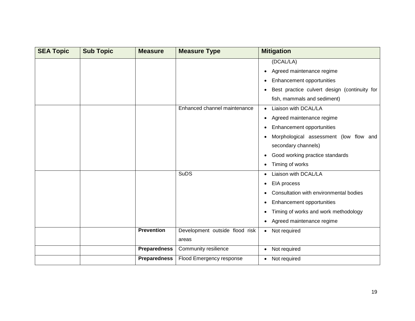| <b>SEA Topic</b> | <b>Sub Topic</b> | <b>Measure</b>      | <b>Measure Type</b>                     | <b>Mitigation</b>                                                                                                                                                                                                  |
|------------------|------------------|---------------------|-----------------------------------------|--------------------------------------------------------------------------------------------------------------------------------------------------------------------------------------------------------------------|
|                  |                  |                     |                                         | (DCAL/LA)<br>Agreed maintenance regime<br>٠<br>Enhancement opportunities                                                                                                                                           |
|                  |                  |                     |                                         | Best practice culvert design (continuity for<br>fish, mammals and sediment)                                                                                                                                        |
|                  |                  |                     | Enhanced channel maintenance            | Liaison with DCAL/LA<br>Agreed maintenance regime<br>$\bullet$<br>Enhancement opportunities<br>Morphological assessment (low flow and<br>secondary channels)<br>Good working practice standards<br>Timing of works |
|                  |                  |                     | <b>SuDS</b>                             | Liaison with DCAL/LA<br>EIA process<br>Consultation with environmental bodies<br>Enhancement opportunities<br>Timing of works and work methodology<br>Agreed maintenance regime                                    |
|                  |                  | <b>Prevention</b>   | Development outside flood risk<br>areas | Not required<br>$\bullet$                                                                                                                                                                                          |
|                  |                  | <b>Preparedness</b> | Community resilience                    | Not required<br>$\bullet$                                                                                                                                                                                          |
|                  |                  | <b>Preparedness</b> | Flood Emergency response                | • Not required                                                                                                                                                                                                     |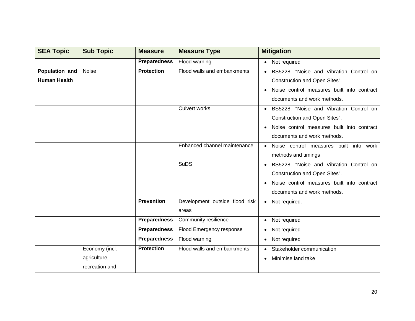| <b>SEA Topic</b>    | <b>Sub Topic</b> | <b>Measure</b>      | <b>Measure Type</b>            | <b>Mitigation</b>                          |
|---------------------|------------------|---------------------|--------------------------------|--------------------------------------------|
|                     |                  | <b>Preparedness</b> | Flood warning                  | Not required                               |
| Population and      | Noise            | <b>Protection</b>   | Flood walls and embankments    | • BS5228, "Noise and Vibration Control on  |
| <b>Human Health</b> |                  |                     |                                | Construction and Open Sites".              |
|                     |                  |                     |                                | Noise control measures built into contract |
|                     |                  |                     |                                | documents and work methods.                |
|                     |                  |                     | <b>Culvert works</b>           | • BS5228, "Noise and Vibration Control on  |
|                     |                  |                     |                                | Construction and Open Sites".              |
|                     |                  |                     |                                | Noise control measures built into contract |
|                     |                  |                     |                                | documents and work methods.                |
|                     |                  |                     | Enhanced channel maintenance   | Noise control measures<br>built into work  |
|                     |                  |                     |                                | methods and timings                        |
|                     |                  |                     | <b>SuDS</b>                    | BS5228, "Noise and Vibration Control on    |
|                     |                  |                     |                                | Construction and Open Sites".              |
|                     |                  |                     |                                | Noise control measures built into contract |
|                     |                  |                     |                                | documents and work methods.                |
|                     |                  | <b>Prevention</b>   | Development outside flood risk | Not required.<br>$\bullet$                 |
|                     |                  |                     | areas                          |                                            |
|                     |                  | <b>Preparedness</b> | Community resilience           | • Not required                             |
|                     |                  | <b>Preparedness</b> | Flood Emergency response       | • Not required                             |
|                     |                  | <b>Preparedness</b> | Flood warning                  | • Not required                             |
|                     | Economy (incl.   | <b>Protection</b>   | Flood walls and embankments    | Stakeholder communication                  |
|                     | agriculture,     |                     |                                | Minimise land take                         |
|                     | recreation and   |                     |                                |                                            |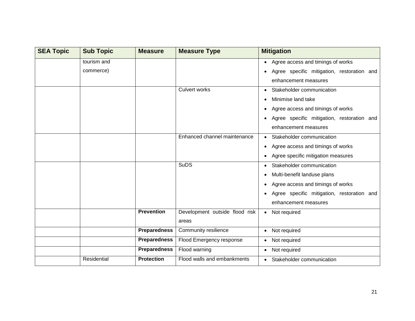| <b>SEA Topic</b> | <b>Sub Topic</b> | <b>Measure</b>      | <b>Measure Type</b>            | <b>Mitigation</b>                              |
|------------------|------------------|---------------------|--------------------------------|------------------------------------------------|
|                  | tourism and      |                     |                                | • Agree access and timings of works            |
|                  | commerce)        |                     |                                | Agree specific mitigation, restoration and     |
|                  |                  |                     |                                | enhancement measures                           |
|                  |                  |                     | <b>Culvert works</b>           | Stakeholder communication                      |
|                  |                  |                     |                                | Minimise land take                             |
|                  |                  |                     |                                | Agree access and timings of works              |
|                  |                  |                     |                                | Agree specific mitigation, restoration and     |
|                  |                  |                     |                                | enhancement measures                           |
|                  |                  |                     | Enhanced channel maintenance   | • Stakeholder communication                    |
|                  |                  |                     |                                | Agree access and timings of works<br>$\bullet$ |
|                  |                  |                     |                                | Agree specific mitigation measures             |
|                  |                  |                     | <b>SuDS</b>                    | • Stakeholder communication                    |
|                  |                  |                     |                                | Multi-benefit landuse plans                    |
|                  |                  |                     |                                | Agree access and timings of works              |
|                  |                  |                     |                                | Agree specific mitigation, restoration and     |
|                  |                  |                     |                                | enhancement measures                           |
|                  |                  | <b>Prevention</b>   | Development outside flood risk | • Not required                                 |
|                  |                  |                     | areas                          |                                                |
|                  |                  | <b>Preparedness</b> | Community resilience           | • Not required                                 |
|                  |                  | <b>Preparedness</b> | Flood Emergency response       | • Not required                                 |
|                  |                  | <b>Preparedness</b> | Flood warning                  | • Not required                                 |
|                  | Residential      | <b>Protection</b>   | Flood walls and embankments    | • Stakeholder communication                    |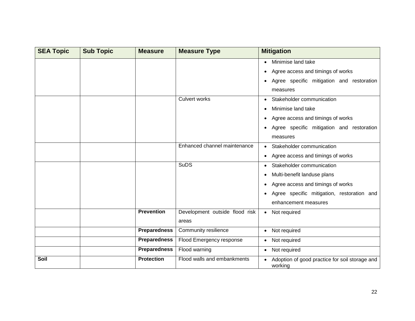| <b>SEA Topic</b> | <b>Sub Topic</b> | <b>Measure</b>      | <b>Measure Type</b>            | <b>Mitigation</b>                                         |
|------------------|------------------|---------------------|--------------------------------|-----------------------------------------------------------|
|                  |                  |                     |                                | Minimise land take                                        |
|                  |                  |                     |                                | Agree access and timings of works                         |
|                  |                  |                     |                                | Agree specific mitigation and restoration                 |
|                  |                  |                     |                                | measures                                                  |
|                  |                  |                     | <b>Culvert works</b>           | Stakeholder communication                                 |
|                  |                  |                     |                                | Minimise land take                                        |
|                  |                  |                     |                                | Agree access and timings of works                         |
|                  |                  |                     |                                | Agree specific mitigation and restoration                 |
|                  |                  |                     |                                | measures                                                  |
|                  |                  |                     | Enhanced channel maintenance   | • Stakeholder communication                               |
|                  |                  |                     |                                | • Agree access and timings of works                       |
|                  |                  |                     | <b>SuDS</b>                    | • Stakeholder communication                               |
|                  |                  |                     |                                | Multi-benefit landuse plans                               |
|                  |                  |                     |                                | Agree access and timings of works                         |
|                  |                  |                     |                                | Agree specific mitigation, restoration and                |
|                  |                  |                     |                                | enhancement measures                                      |
|                  |                  | <b>Prevention</b>   | Development outside flood risk | • Not required                                            |
|                  |                  |                     | areas                          |                                                           |
|                  |                  | <b>Preparedness</b> | Community resilience           | • Not required                                            |
|                  |                  | <b>Preparedness</b> | Flood Emergency response       | • Not required                                            |
|                  |                  | <b>Preparedness</b> | Flood warning                  | • Not required                                            |
| Soil             |                  | <b>Protection</b>   | Flood walls and embankments    | Adoption of good practice for soil storage and<br>working |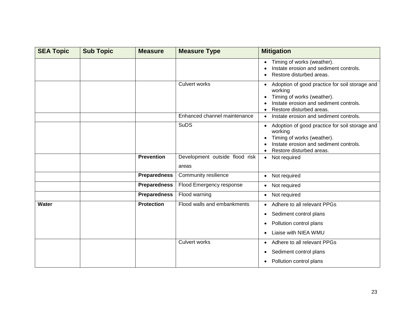| <b>SEA Topic</b> | <b>Sub Topic</b> | <b>Measure</b>      | <b>Measure Type</b>                     | <b>Mitigation</b>                                                                                                                                             |
|------------------|------------------|---------------------|-----------------------------------------|---------------------------------------------------------------------------------------------------------------------------------------------------------------|
|                  |                  |                     |                                         | Timing of works (weather).<br>Instate erosion and sediment controls.<br>Restore disturbed areas.                                                              |
|                  |                  |                     | <b>Culvert works</b>                    | Adoption of good practice for soil storage and<br>working<br>Timing of works (weather).<br>Instate erosion and sediment controls.<br>Restore disturbed areas. |
|                  |                  |                     | Enhanced channel maintenance            | Instate erosion and sediment controls.                                                                                                                        |
|                  |                  |                     | <b>SuDS</b>                             | Adoption of good practice for soil storage and<br>working<br>Timing of works (weather).<br>Instate erosion and sediment controls.<br>Restore disturbed areas. |
|                  |                  | <b>Prevention</b>   | Development outside flood risk<br>areas | Not required<br>$\bullet$                                                                                                                                     |
|                  |                  | <b>Preparedness</b> | Community resilience                    | • Not required                                                                                                                                                |
|                  |                  | <b>Preparedness</b> | Flood Emergency response                | Not required<br>$\bullet$                                                                                                                                     |
|                  |                  | <b>Preparedness</b> | Flood warning                           | Not required<br>$\bullet$                                                                                                                                     |
| Water            |                  | <b>Protection</b>   | Flood walls and embankments             | Adhere to all relevant PPGs                                                                                                                                   |
|                  |                  |                     |                                         | Sediment control plans<br>$\bullet$                                                                                                                           |
|                  |                  |                     |                                         | Pollution control plans<br>٠                                                                                                                                  |
|                  |                  |                     |                                         | Liaise with NIEA WMU                                                                                                                                          |
|                  |                  |                     | <b>Culvert works</b>                    | Adhere to all relevant PPGs                                                                                                                                   |
|                  |                  |                     |                                         | Sediment control plans<br>٠                                                                                                                                   |
|                  |                  |                     |                                         | Pollution control plans                                                                                                                                       |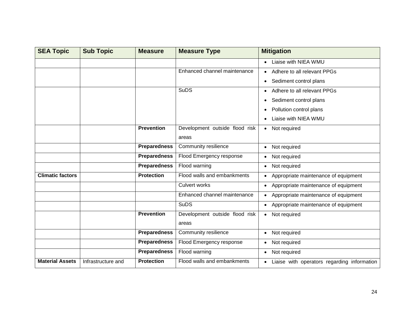| <b>SEA Topic</b>        | <b>Sub Topic</b>   | <b>Measure</b>      | <b>Measure Type</b>            | <b>Mitigation</b>                                        |
|-------------------------|--------------------|---------------------|--------------------------------|----------------------------------------------------------|
|                         |                    |                     |                                | Liaise with NIEA WMU                                     |
|                         |                    |                     | Enhanced channel maintenance   | Adhere to all relevant PPGs                              |
|                         |                    |                     |                                | Sediment control plans                                   |
|                         |                    |                     | <b>SuDS</b>                    | Adhere to all relevant PPGs                              |
|                         |                    |                     |                                | Sediment control plans                                   |
|                         |                    |                     |                                | Pollution control plans                                  |
|                         |                    |                     |                                | Liaise with NIEA WMU                                     |
|                         |                    | <b>Prevention</b>   | Development outside flood risk | • Not required                                           |
|                         |                    |                     | areas                          |                                                          |
|                         |                    | <b>Preparedness</b> | Community resilience           | Not required                                             |
|                         |                    | <b>Preparedness</b> | Flood Emergency response       | Not required                                             |
|                         |                    | <b>Preparedness</b> | Flood warning                  | Not required                                             |
| <b>Climatic factors</b> |                    | <b>Protection</b>   | Flood walls and embankments    | • Appropriate maintenance of equipment                   |
|                         |                    |                     | <b>Culvert works</b>           | Appropriate maintenance of equipment<br>$\bullet$        |
|                         |                    |                     | Enhanced channel maintenance   | Appropriate maintenance of equipment                     |
|                         |                    |                     | <b>SuDS</b>                    | • Appropriate maintenance of equipment                   |
|                         |                    | <b>Prevention</b>   | Development outside flood risk | Not required<br>$\bullet$                                |
|                         |                    |                     | areas                          |                                                          |
|                         |                    | <b>Preparedness</b> | Community resilience           | Not required                                             |
|                         |                    | <b>Preparedness</b> | Flood Emergency response       | Not required<br>$\bullet$                                |
|                         |                    | <b>Preparedness</b> | Flood warning                  | Not required<br>$\bullet$                                |
| <b>Material Assets</b>  | Infrastructure and | <b>Protection</b>   | Flood walls and embankments    | Liaise with operators regarding information<br>$\bullet$ |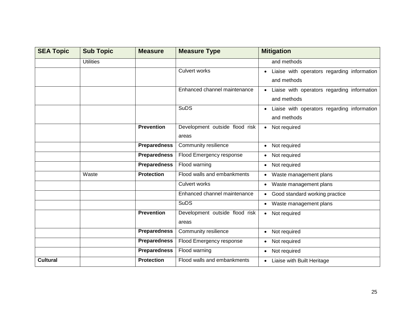| <b>SEA Topic</b> | <b>Sub Topic</b> | <b>Measure</b>      | <b>Measure Type</b>            | <b>Mitigation</b>                                        |
|------------------|------------------|---------------------|--------------------------------|----------------------------------------------------------|
|                  | <b>Utilities</b> |                     |                                | and methods                                              |
|                  |                  |                     | <b>Culvert works</b>           | Liaise with operators regarding information              |
|                  |                  |                     |                                | and methods                                              |
|                  |                  |                     | Enhanced channel maintenance   | Liaise with operators regarding information<br>$\bullet$ |
|                  |                  |                     |                                | and methods                                              |
|                  |                  |                     | <b>SuDS</b>                    | Liaise with operators regarding information              |
|                  |                  |                     |                                | and methods                                              |
|                  |                  | <b>Prevention</b>   | Development outside flood risk | Not required<br>$\bullet$                                |
|                  |                  |                     | areas                          |                                                          |
|                  |                  | <b>Preparedness</b> | Community resilience           | • Not required                                           |
|                  |                  | <b>Preparedness</b> | Flood Emergency response       | Not required                                             |
|                  |                  | <b>Preparedness</b> | Flood warning                  | Not required<br>$\bullet$                                |
|                  | Waste            | <b>Protection</b>   | Flood walls and embankments    | Waste management plans                                   |
|                  |                  |                     | <b>Culvert works</b>           | • Waste management plans                                 |
|                  |                  |                     | Enhanced channel maintenance   | Good standard working practice                           |
|                  |                  |                     | <b>SuDS</b>                    | • Waste management plans                                 |
|                  |                  | <b>Prevention</b>   | Development outside flood risk | • Not required                                           |
|                  |                  |                     | areas                          |                                                          |
|                  |                  | <b>Preparedness</b> | Community resilience           | Not required                                             |
|                  |                  | <b>Preparedness</b> | Flood Emergency response       | Not required                                             |
|                  |                  | <b>Preparedness</b> | Flood warning                  | Not required<br>$\bullet$                                |
| <b>Cultural</b>  |                  | <b>Protection</b>   | Flood walls and embankments    | Liaise with Built Heritage                               |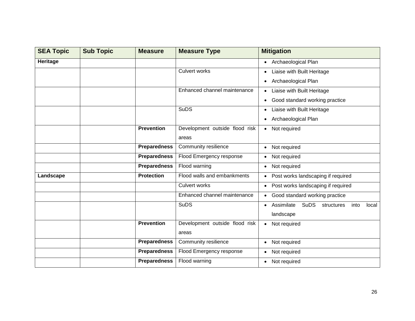| <b>SEA Topic</b> | <b>Sub Topic</b> | <b>Measure</b>      | <b>Measure Type</b>            | <b>Mitigation</b>                                                     |
|------------------|------------------|---------------------|--------------------------------|-----------------------------------------------------------------------|
| Heritage         |                  |                     |                                | • Archaeological Plan                                                 |
|                  |                  |                     | <b>Culvert works</b>           | Liaise with Built Heritage<br>$\bullet$                               |
|                  |                  |                     |                                | Archaeological Plan<br>$\bullet$                                      |
|                  |                  |                     | Enhanced channel maintenance   | Liaise with Built Heritage                                            |
|                  |                  |                     |                                | Good standard working practice                                        |
|                  |                  |                     | <b>SuDS</b>                    | Liaise with Built Heritage                                            |
|                  |                  |                     |                                | Archaeological Plan                                                   |
|                  |                  | <b>Prevention</b>   | Development outside flood risk | • Not required                                                        |
|                  |                  |                     | areas                          |                                                                       |
|                  |                  | <b>Preparedness</b> | Community resilience           | Not required<br>$\bullet$                                             |
|                  |                  | <b>Preparedness</b> | Flood Emergency response       | Not required<br>$\bullet$                                             |
|                  |                  | <b>Preparedness</b> | Flood warning                  | Not required<br>$\bullet$                                             |
| Landscape        |                  | <b>Protection</b>   | Flood walls and embankments    | • Post works landscaping if required                                  |
|                  |                  |                     | <b>Culvert works</b>           | • Post works landscaping if required                                  |
|                  |                  |                     | Enhanced channel maintenance   | Good standard working practice<br>$\bullet$                           |
|                  |                  |                     | <b>SuDS</b>                    | Assimilate<br><b>SuDS</b><br>structures<br>local<br>into<br>$\bullet$ |
|                  |                  |                     |                                | landscape                                                             |
|                  |                  | <b>Prevention</b>   | Development outside flood risk | Not required<br>$\bullet$                                             |
|                  |                  |                     | areas                          |                                                                       |
|                  |                  | <b>Preparedness</b> | Community resilience           | Not required<br>$\bullet$                                             |
|                  |                  | <b>Preparedness</b> | Flood Emergency response       | Not required                                                          |
|                  |                  | <b>Preparedness</b> | Flood warning                  | Not required<br>$\bullet$                                             |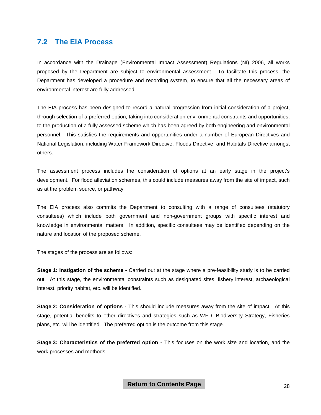### **7.2 The EIA Process**

In accordance with the Drainage (Environmental Impact Assessment) Regulations (NI) 2006, all works proposed by the Department are subject to environmental assessment. To facilitate this process, the Department has developed a procedure and recording system, to ensure that all the necessary areas of environmental interest are fully addressed.

The EIA process has been designed to record a natural progression from initial consideration of a project, through selection of a preferred option, taking into consideration environmental constraints and opportunities, to the production of a fully assessed scheme which has been agreed by both engineering and environmental personnel. This satisfies the requirements and opportunities under a number of European Directives and National Legislation, including Water Framework Directive, Floods Directive, and Habitats Directive amongst others.

The assessment process includes the consideration of options at an early stage in the project's development. For flood alleviation schemes, this could include measures away from the site of impact, such as at the problem source, or pathway.

The EIA process also commits the Department to consulting with a range of consultees (statutory consultees) which include both government and non-government groups with specific interest and knowledge in environmental matters. In addition, specific consultees may be identified depending on the nature and location of the proposed scheme.

The stages of the process are as follows:

**Stage 1: Instigation of the scheme -** Carried out at the stage where a pre-feasibility study is to be carried out. At this stage, the environmental constraints such as designated sites, fishery interest, archaeological interest, priority habitat, etc. will be identified.

**Stage 2: Consideration of options -** This should include measures away from the site of impact. At this stage, potential benefits to other directives and strategies such as WFD, Biodiversity Strategy, Fisheries plans, etc. will be identified. The preferred option is the outcome from this stage.

**Stage 3: Characteristics of the preferred option -** This focuses on the work size and location, and the work processes and methods.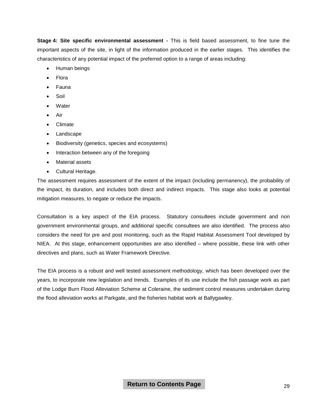**Stage 4: Site specific environmental assessment -** This is field based assessment, to fine tune the important aspects of the site, in light of the information produced in the earlier stages. This identifies the characteristics of any potential impact of the preferred option to a range of areas including:

- Human beings
- **Flora**
- Fauna
- Soil
- **Water**
- Air
- Climate
- **Landscape**
- Biodiversity (genetics, species and ecosystems)
- Interaction between any of the foregoing
- Material assets
- Cultural Heritage.

The assessment requires assessment of the extent of the impact (including permanency), the probability of the impact, its duration, and includes both direct and indirect impacts. This stage also looks at potential mitigation measures, to negate or reduce the impacts.

Consultation is a key aspect of the EIA process. Statutory consultees include government and non government environmental groups, and additional specific consultees are also identified. The process also considers the need for pre and post monitoring, such as the Rapid Habitat Assessment Tool developed by NIEA. At this stage, enhancement opportunities are also identified – where possible, these link with other directives and plans, such as Water Framework Directive.

The EIA process is a robust and well tested assessment methodology, which has been developed over the years, to incorporate new legislation and trends. Examples of its use include the fish passage work as part of the Lodge Burn Flood Alleviation Scheme at Coleraine, the sediment control measures undertaken during the flood alleviation works at Parkgate, and the fisheries habitat work at Ballygawley.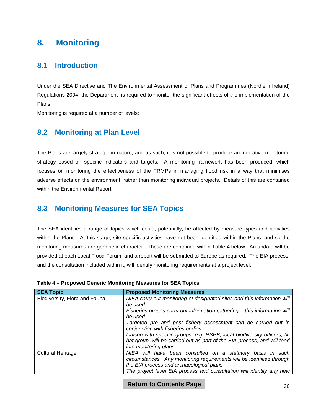# <span id="page-31-0"></span>**8. Monitoring**

# **8.1 Introduction**

Under the SEA Directive and The Environmental Assessment of Plans and Programmes (Northern Ireland) Regulations 2004, the Department is required to monitor the significant effects of the implementation of the Plans.

Monitoring is required at a number of levels:

# **8.2 Monitoring at Plan Level**

The Plans are largely strategic in nature, and as such, it is not possible to produce an indicative monitoring strategy based on specific indicators and targets. A monitoring framework has been produced, which focuses on monitoring the effectiveness of the FRMPs in managing flood risk in a way that minimises adverse effects on the environment, rather than monitoring individual projects. Details of this are contained within the Environmental Report.

### **8.3 Monitoring Measures for SEA Topics**

The SEA identifies a range of topics which could, potentially, be affected by measure types and activities within the Plans. At this stage, site specific activities have not been identified within the Plans, and so the monitoring measures are generic in character. These are contained within Table 4 below. An update will be provided at each Local Flood Forum, and a report will be submitted to Europe as required. The EIA process, and the consultation included within it, will identify monitoring requirements at a project level.

| <b>SEA Topic</b>              | <b>Proposed Monitoring Measures</b>                                                                                                                                              |
|-------------------------------|----------------------------------------------------------------------------------------------------------------------------------------------------------------------------------|
| Biodiversity, Flora and Fauna | NIEA carry out monitoring of designated sites and this information will<br>be used.                                                                                              |
|                               | Fisheries groups carry out information gathering – this information will<br>be used.                                                                                             |
|                               | Targeted pre and post fishery assessment can be carried out in<br>conjunction with fisheries bodies.                                                                             |
|                               | Liaison with specific groups, e.g. RSPB, local biodiversity officers, NI<br>bat group, will be carried out as part of the EIA process, and will feed<br>into monitoring plans.   |
| <b>Cultural Heritage</b>      | NIEA will have been consulted on a statutory basis in such<br>circumstances. Any monitoring requirements will be identified through<br>the EIA process and archaeological plans. |
|                               | The project level EIA process and consultation will identify any new                                                                                                             |

#### **Table 4 – Proposed Generic Monitoring Measures for SEA Topics**

#### **Return to Contents Page**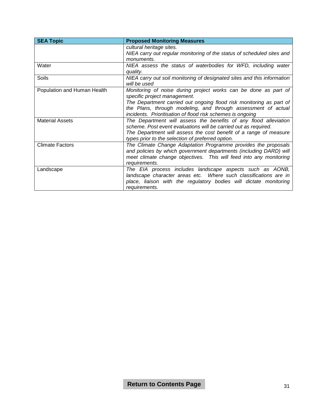| <b>SEA Topic</b>            | <b>Proposed Monitoring Measures</b>                                                             |
|-----------------------------|-------------------------------------------------------------------------------------------------|
|                             | cultural heritage sites.                                                                        |
|                             | NIEA carry out regular monitoring of the status of scheduled sites and                          |
|                             | monuments.                                                                                      |
| Water                       | NIEA assess the status of waterbodies for WFD, including water<br>quality.                      |
| <b>Soils</b>                | NIEA carry out soil monitoring of designated sites and this information<br>will be used         |
| Population and Human Health | Monitoring of noise during project works can be done as part of<br>specific project management. |
|                             | The Department carried out ongoing flood risk monitoring as part of                             |
|                             | the Plans, through modeling, and through assessment of actual                                   |
|                             | incidents. Prioritisation of flood risk schemes is ongoing                                      |
| <b>Material Assets</b>      | The Department will assess the benefits of any flood alleviation                                |
|                             | scheme. Post event evaluations will be carried out as required.                                 |
|                             | The Department will assess the cost benefit of a range of measure                               |
|                             | types prior to the selection of preferred option.                                               |
| <b>Climate Factors</b>      | The Climate Change Adaptation Programme provides the proposals                                  |
|                             | and policies by which government departments (including DARD) will                              |
|                             | meet climate change objectives. This will feed into any monitoring                              |
|                             | requirements.                                                                                   |
| Landscape                   | The EIA process includes landscape aspects such as AONB,                                        |
|                             | landscape character areas etc. Where such classifications are in                                |
|                             | place, liaison with the regulatory bodies will dictate monitoring                               |
|                             | requirements.                                                                                   |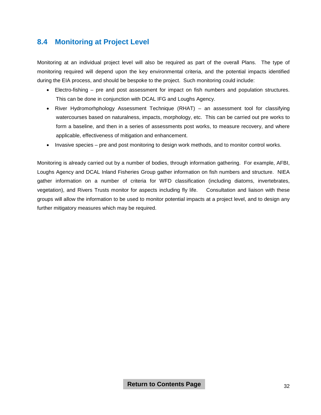### **8.4 Monitoring at Project Level**

Monitoring at an individual project level will also be required as part of the overall Plans. The type of monitoring required will depend upon the key environmental criteria, and the potential impacts identified during the EIA process, and should be bespoke to the project. Such monitoring could include:

- Electro-fishing pre and post assessment for impact on fish numbers and population structures. This can be done in conjunction with DCAL IFG and Loughs Agency.
- River Hydromorhphology Assessment Technique (RHAT) an assessment tool for classifying watercourses based on naturalness, impacts, morphology, etc. This can be carried out pre works to form a baseline, and then in a series of assessments post works, to measure recovery, and where applicable, effectiveness of mitigation and enhancement.
- Invasive species pre and post monitoring to design work methods, and to monitor control works.

Monitoring is already carried out by a number of bodies, through information gathering. For example, AFBI, Loughs Agency and DCAL Inland Fisheries Group gather information on fish numbers and structure. NIEA gather information on a number of criteria for WFD classification (including diatoms, invertebrates, vegetation), and Rivers Trusts monitor for aspects including fly life. Consultation and liaison with these groups will allow the information to be used to monitor potential impacts at a project level, and to design any further mitigatory measures which may be required.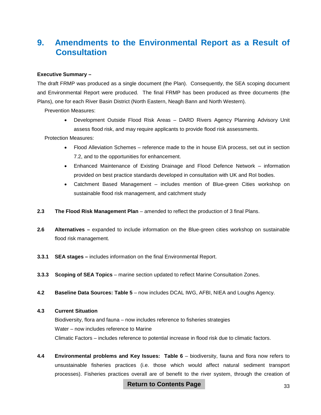# <span id="page-34-0"></span>**9. Amendments to the Environmental Report as a Result of Consultation**

#### **Executive Summary –**

The draft FRMP was produced as a single document (the Plan). Consequently, the SEA scoping document and Environmental Report were produced. The final FRMP has been produced as three documents (the Plans), one for each River Basin District (North Eastern, Neagh Bann and North Western).

Prevention Measures:

• Development Outside Flood Risk Areas – DARD Rivers Agency Planning Advisory Unit assess flood risk, and may require applicants to provide flood risk assessments.

Protection Measures:

- Flood Alleviation Schemes reference made to the in house EIA process, set out in section 7.2, and to the opportunities for enhancement.
- Enhanced Maintenance of Existing Drainage and Flood Defence Network information provided on best practice standards developed in consultation with UK and RoI bodies.
- Catchment Based Management includes mention of Blue-green Cities workshop on sustainable flood risk management, and catchment study
- **2.3 The Flood Risk Management Plan** amended to reflect the production of 3 final Plans.
- **2.6 Alternatives –** expanded to include information on the Blue-green cities workshop on sustainable flood risk management.
- **3.3.1 SEA stages –** includes information on the final Environmental Report.
- **3.3.3 Scoping of SEA Topics** marine section updated to reflect Marine Consultation Zones.
- **4.2 Baseline Data Sources: Table 5** now includes DCAL IWG, AFBI, NIEA and Loughs Agency.

#### **4.3 Current Situation**

Biodiversity, flora and fauna – now includes reference to fisheries strategies Water – now includes reference to Marine Climatic Factors – includes reference to potential increase in flood risk due to climatic factors.

**4.4 Environmental problems and Key Issues: Table 6** – biodiversity, fauna and flora now refers to unsustainable fisheries practices (i.e. those which would affect natural sediment transport processes). Fisheries practices overall are of benefit to the river system, through the creation of

**Return to Contents Page**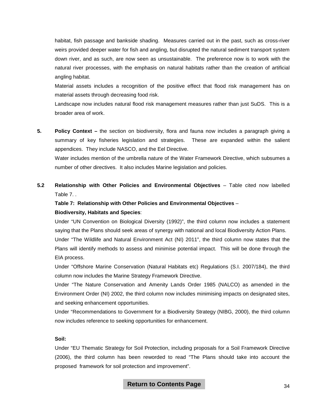habitat, fish passage and bankside shading. Measures carried out in the past, such as cross-river weirs provided deeper water for fish and angling, but disrupted the natural sediment transport system down river, and as such, are now seen as unsustainable. The preference now is to work with the natural river processes, with the emphasis on natural habitats rather than the creation of artificial angling habitat.

Material assets includes a recognition of the positive effect that flood risk management has on material assets through decreasing food risk.

Landscape now includes natural flood risk management measures rather than just SuDS. This is a broader area of work.

**5. Policy Context –** the section on biodiversity, flora and fauna now includes a paragraph giving a summary of key fisheries legislation and strategies. These are expanded within the salient appendices. They include NASCO, and the Eel Directive.

Water includes mention of the umbrella nature of the Water Framework Directive, which subsumes a number of other directives. It also includes Marine legislation and policies.

**5.2 Relationship with Other Policies and Environmental Objectives** – Table cited now labelled Table 7. .

#### **Table 7: Relationship with Other Policies and Environmental Objectives** – **Biodiversity, Habitats and Species**:

Under "UN Convention on Biological Diversity (1992)", the third column now includes a statement saying that the Plans should seek areas of synergy with national and local Biodiversity Action Plans. Under "The Wildlife and Natural Environment Act (NI) 2011", the third column now states that the Plans will identify methods to assess and minimise potential impact. This will be done through the

EIA process.

Under "Offshore Marine Conservation (Natural Habitats etc) Regulations (S.I. 2007/184), the third column now includes the Marine Strategy Framework Directive.

Under "The Nature Conservation and Amenity Lands Order 1985 (NALCO) as amended in the Environment Order (NI) 2002, the third column now includes minimising impacts on designated sites, and seeking enhancement opportunities.

Under "Recommendations to Government for a Biodiversity Strategy (NIBG, 2000), the third column now includes reference to seeking opportunities for enhancement.

#### **Soil:**

Under "EU Thematic Strategy for Soil Protection, including proposals for a Soil Framework Directive (2006), the third column has been reworded to read "The Plans should take into account the proposed framework for soil protection and improvement".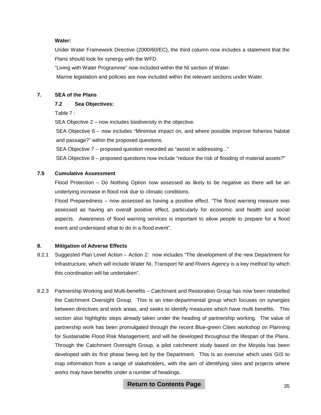#### **Water:**

Under Water Framework Directive (2000/60/EC), the third column now includes a statement that the Plans should look for synergy with the WFD.

"Living with Water Programme" now included within the NI section of Water.

Marine legislation and policies are now included within the relevant sections under Water.

#### **7. SEA of the Plans**

#### **7.2 Sea Objectives:**

Table 7 :

SEA Objective 2 – now includes biodiversity in the objective.

SEA Objective 6 – now includes "Minimise impact on, and where possible improve fisheries habitat and passage?" within the proposed questions.

SEA Objective 7 – proposed question reworded as "assist in addressing..."

SEA Objective 8 – proposed questions now include "reduce the risk of flooding of material assets?"

#### **7.5 Cumulative Assessment**

Flood Protection – Do Nothing Option now assessed as likely to be negative as there will be an underlying increase in flood risk due to climatic conditions.

Flood Preparedness – now assessed as having a positive effect. "The flood warning measure was assessed as having an overall positive effect, particularly for economic and health and social aspects. Awareness of flood warning services is important to allow people to prepare for a flood event and understand what to do in a flood event".

#### **8. Mitigation of Adverse Effects**

- 8.2.1 Suggested Plan Level Action Action 2: now includes "The development of the new Department for Infrastructure, which will include Water NI, Transport NI and Rivers Agency is a key method by which this coordination will be undertaken".
- 8.2.3 Partnership Working and Multi-benefits Catchment and Restoration Group has now been relabelled the Catchment Oversight Group. This is an inter-departmental group which focuses on synergies between directives and work areas, and seeks to identify measures which have multi benefits. This section also highlights steps already taken under the heading of partnership working. The value of partnership work has been promulgated through the recent Blue-green Cities workshop on Planning for Sustainable Flood Risk Management, and will be developed throughout the lifespan of the Plans. Through the Catchment Oversight Group, a pilot catchment study based on the Moyola has been developed with its first phase being led by the Department. This is an exercise which uses GIS to map information from a range of stakeholders, with the aim of identifying sites and projects where works may have benefits under a number of headings.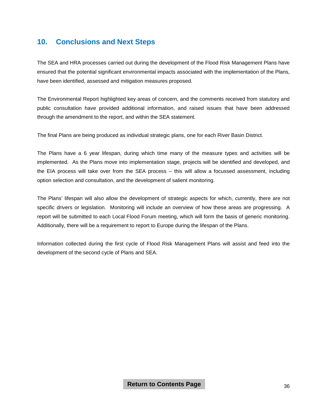# <span id="page-37-0"></span>**10. Conclusions and Next Steps**

The SEA and HRA processes carried out during the development of the Flood Risk Management Plans have ensured that the potential significant environmental impacts associated with the implementation of the Plans, have been identified, assessed and mitigation measures proposed.

The Environmental Report highlighted key areas of concern, and the comments received from statutory and public consultation have provided additional information, and raised issues that have been addressed through the amendment to the report, and within the SEA statement.

The final Plans are being produced as individual strategic plans, one for each River Basin District.

The Plans have a 6 year lifespan, during which time many of the measure types and activities will be implemented. As the Plans move into implementation stage, projects will be identified and developed, and the EIA process will take over from the SEA process – this will allow a focussed assessment, including option selection and consultation, and the development of salient monitoring.

The Plans' lifespan will also allow the development of strategic aspects for which, currently, there are not specific drivers or legislation. Monitoring will include an overview of how these areas are progressing. A report will be submitted to each Local Flood Forum meeting, which will form the basis of generic monitoring. Additionally, there will be a requirement to report to Europe during the lifespan of the Plans.

Information collected during the first cycle of Flood Risk Management Plans will assist and feed into the development of the second cycle of Plans and SEA.